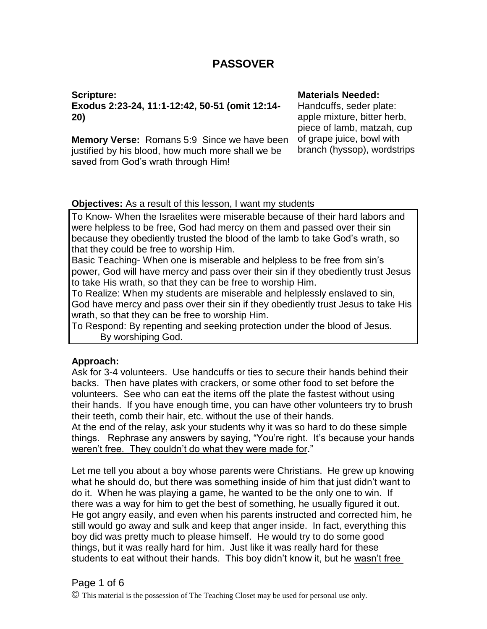# **PASSOVER**

**Scripture: Exodus 2:23-24, 11:1-12:42, 50-51 (omit 12:14- 20)**

**Memory Verse:** Romans 5:9 Since we have been justified by his blood, how much more shall we be saved from God's wrath through Him!

#### **Materials Needed:**

Handcuffs, seder plate: apple mixture, bitter herb, piece of lamb, matzah, cup of grape juice, bowl with branch (hyssop), wordstrips

### **Objectives:** As a result of this lesson, I want my students

To Know- When the Israelites were miserable because of their hard labors and were helpless to be free, God had mercy on them and passed over their sin because they obediently trusted the blood of the lamb to take God's wrath, so that they could be free to worship Him.

Basic Teaching- When one is miserable and helpless to be free from sin's power, God will have mercy and pass over their sin if they obediently trust Jesus to take His wrath, so that they can be free to worship Him.

To Realize: When my students are miserable and helplessly enslaved to sin, God have mercy and pass over their sin if they obediently trust Jesus to take His wrath, so that they can be free to worship Him.

To Respond: By repenting and seeking protection under the blood of Jesus. By worshiping God.

## **Approach:**

Ask for 3-4 volunteers. Use handcuffs or ties to secure their hands behind their backs. Then have plates with crackers, or some other food to set before the volunteers. See who can eat the items off the plate the fastest without using their hands. If you have enough time, you can have other volunteers try to brush their teeth, comb their hair, etc. without the use of their hands. At the end of the relay, ask your students why it was so hard to do these simple things. Rephrase any answers by saying, "You're right. It's because your hands weren't free. They couldn't do what they were made for."

Let me tell you about a boy whose parents were Christians. He grew up knowing what he should do, but there was something inside of him that just didn't want to do it. When he was playing a game, he wanted to be the only one to win. If there was a way for him to get the best of something, he usually figured it out. He got angry easily, and even when his parents instructed and corrected him, he still would go away and sulk and keep that anger inside. In fact, everything this boy did was pretty much to please himself. He would try to do some good things, but it was really hard for him. Just like it was really hard for these students to eat without their hands. This boy didn't know it, but he wasn't free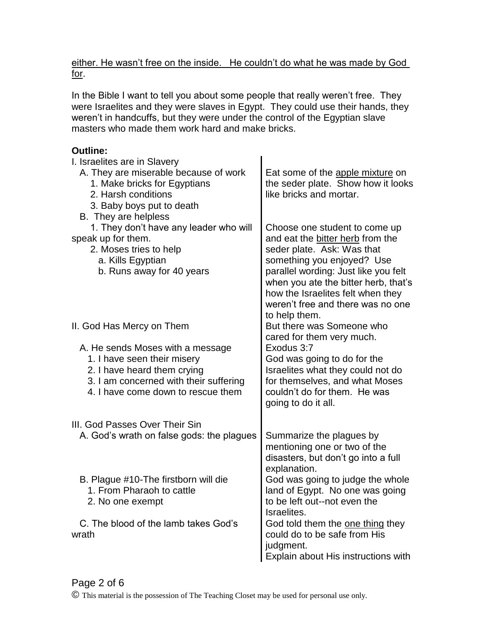either. He wasn't free on the inside. He couldn't do what he was made by God for.

In the Bible I want to tell you about some people that really weren't free. They were Israelites and they were slaves in Egypt. They could use their hands, they weren't in handcuffs, but they were under the control of the Egyptian slave masters who made them work hard and make bricks.

# **Outline:**

| I. Israelites are in Slavery<br>A. They are miserable because of work<br>1. Make bricks for Egyptians<br>2. Harsh conditions<br>3. Baby boys put to death<br>B. They are helpless | Eat some of the apple mixture on<br>the seder plate. Show how it looks<br>like bricks and mortar.                                                                                                                                                                                                        |
|-----------------------------------------------------------------------------------------------------------------------------------------------------------------------------------|----------------------------------------------------------------------------------------------------------------------------------------------------------------------------------------------------------------------------------------------------------------------------------------------------------|
| 1. They don't have any leader who will<br>speak up for them.<br>2. Moses tries to help<br>a. Kills Egyptian<br>b. Runs away for 40 years                                          | Choose one student to come up<br>and eat the bitter herb from the<br>seder plate. Ask: Was that<br>something you enjoyed? Use<br>parallel wording: Just like you felt<br>when you ate the bitter herb, that's<br>how the Israelites felt when they<br>weren't free and there was no one<br>to help them. |
| II. God Has Mercy on Them                                                                                                                                                         | But there was Someone who<br>cared for them very much.                                                                                                                                                                                                                                                   |
| A. He sends Moses with a message<br>1. I have seen their misery<br>2. I have heard them crying<br>3. I am concerned with their suffering<br>4. I have come down to rescue them    | Exodus 3:7<br>God was going to do for the<br>Israelites what they could not do<br>for themselves, and what Moses<br>couldn't do for them. He was<br>going to do it all.                                                                                                                                  |
| III. God Passes Over Their Sin                                                                                                                                                    |                                                                                                                                                                                                                                                                                                          |
| A. God's wrath on false gods: the plagues                                                                                                                                         | Summarize the plagues by<br>mentioning one or two of the<br>disasters, but don't go into a full<br>explanation.                                                                                                                                                                                          |
| B. Plague #10-The firstborn will die<br>1. From Pharaoh to cattle<br>2. No one exempt                                                                                             | God was going to judge the whole<br>land of Egypt. No one was going<br>to be left out--not even the<br>Israelites.                                                                                                                                                                                       |
| C. The blood of the lamb takes God's<br>wrath                                                                                                                                     | God told them the one thing they<br>could do to be safe from His<br>judgment.<br>Explain about His instructions with                                                                                                                                                                                     |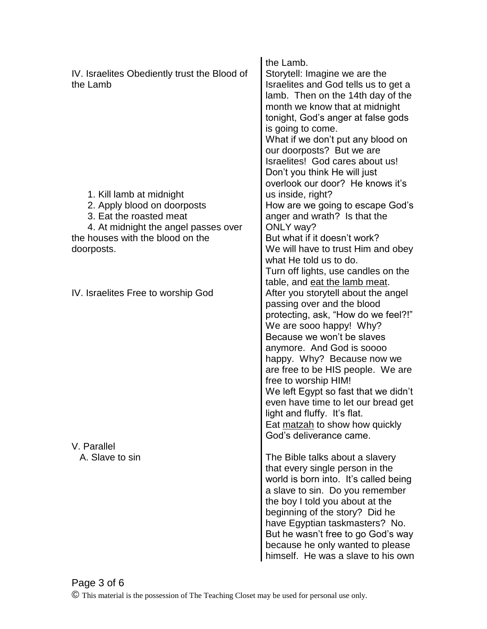| IV. Israelites Obediently trust the Blood of<br>the Lamb                                                                   | the Lamb.<br>Storytell: Imagine we are the<br>Israelites and God tells us to get a<br>lamb. Then on the 14th day of the<br>month we know that at midnight<br>tonight, God's anger at false gods<br>is going to come.<br>What if we don't put any blood on<br>our doorposts? But we are<br>Israelites! God cares about us!<br>Don't you think He will just<br>overlook our door? He knows it's                                                                         |
|----------------------------------------------------------------------------------------------------------------------------|-----------------------------------------------------------------------------------------------------------------------------------------------------------------------------------------------------------------------------------------------------------------------------------------------------------------------------------------------------------------------------------------------------------------------------------------------------------------------|
| 1. Kill lamb at midnight<br>2. Apply blood on doorposts<br>3. Eat the roasted meat<br>4. At midnight the angel passes over | us inside, right?<br>How are we going to escape God's<br>anger and wrath? Is that the<br>ONLY way?                                                                                                                                                                                                                                                                                                                                                                    |
| the houses with the blood on the<br>doorposts.                                                                             | But what if it doesn't work?<br>We will have to trust Him and obey<br>what He told us to do.<br>Turn off lights, use candles on the<br>table, and eat the lamb meat.                                                                                                                                                                                                                                                                                                  |
| IV. Israelites Free to worship God                                                                                         | After you storytell about the angel<br>passing over and the blood<br>protecting, ask, "How do we feel?!"<br>We are sooo happy! Why?<br>Because we won't be slaves<br>anymore. And God is soooo<br>happy. Why? Because now we<br>are free to be HIS people. We are<br>free to worship HIM!<br>We left Egypt so fast that we didn't<br>even have time to let our bread get<br>light and fluffy. It's flat.<br>Eat matzah to show how quickly<br>God's deliverance came. |
| V. Parallel<br>A. Slave to sin                                                                                             | The Bible talks about a slavery<br>that every single person in the<br>world is born into. It's called being<br>a slave to sin. Do you remember<br>the boy I told you about at the<br>beginning of the story? Did he<br>have Egyptian taskmasters? No.<br>But he wasn't free to go God's way<br>because he only wanted to please<br>himself. He was a slave to his own                                                                                                 |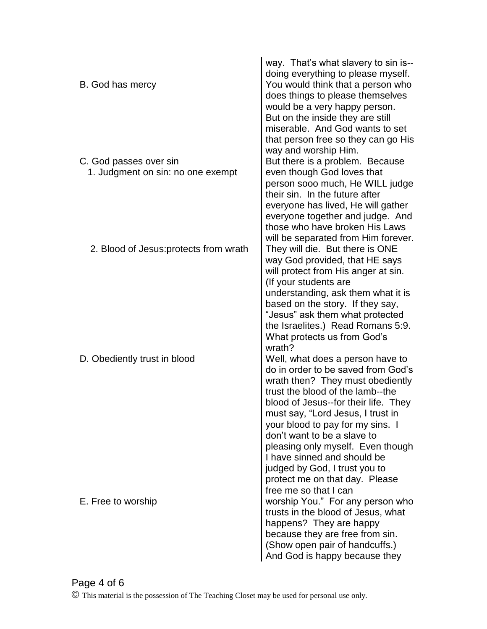| B. God has mercy                                            | way. That's what slavery to sin is--<br>doing everything to please myself.<br>You would think that a person who<br>does things to please themselves<br>would be a very happy person.<br>But on the inside they are still                                                                                                                                                                                                                                                            |
|-------------------------------------------------------------|-------------------------------------------------------------------------------------------------------------------------------------------------------------------------------------------------------------------------------------------------------------------------------------------------------------------------------------------------------------------------------------------------------------------------------------------------------------------------------------|
| C. God passes over sin<br>1. Judgment on sin: no one exempt | miserable. And God wants to set<br>that person free so they can go His<br>way and worship Him.<br>But there is a problem. Because<br>even though God loves that<br>person sooo much, He WILL judge<br>their sin. In the future after<br>everyone has lived, He will gather<br>everyone together and judge. And<br>those who have broken His Laws                                                                                                                                    |
| 2. Blood of Jesus: protects from wrath                      | will be separated from Him forever.<br>They will die. But there is ONE<br>way God provided, that HE says<br>will protect from His anger at sin.                                                                                                                                                                                                                                                                                                                                     |
| D. Obediently trust in blood                                | (If your students are<br>understanding, ask them what it is<br>based on the story. If they say,<br>"Jesus" ask them what protected<br>the Israelites.) Read Romans 5:9.<br>What protects us from God's<br>wrath?<br>Well, what does a person have to<br>do in order to be saved from God's<br>wrath then? They must obediently<br>trust the blood of the lamb--the<br>blood of Jesus--for their life. They<br>must say, "Lord Jesus, I trust in<br>your blood to pay for my sins. I |
| E. Free to worship                                          | don't want to be a slave to<br>pleasing only myself. Even though<br>I have sinned and should be<br>judged by God, I trust you to<br>protect me on that day. Please<br>free me so that I can<br>worship You." For any person who<br>trusts in the blood of Jesus, what<br>happens? They are happy<br>because they are free from sin.<br>(Show open pair of handcuffs.)<br>And God is happy because they                                                                              |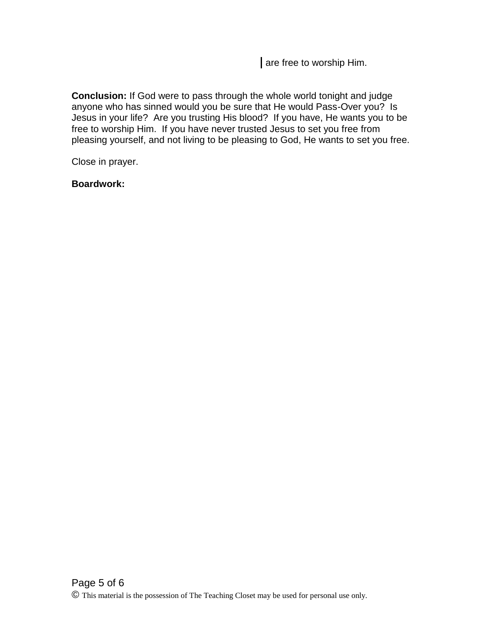are free to worship Him.

**Conclusion:** If God were to pass through the whole world tonight and judge anyone who has sinned would you be sure that He would Pass-Over you? Is Jesus in your life? Are you trusting His blood? If you have, He wants you to be free to worship Him. If you have never trusted Jesus to set you free from pleasing yourself, and not living to be pleasing to God, He wants to set you free.

Close in prayer.

**Boardwork:**